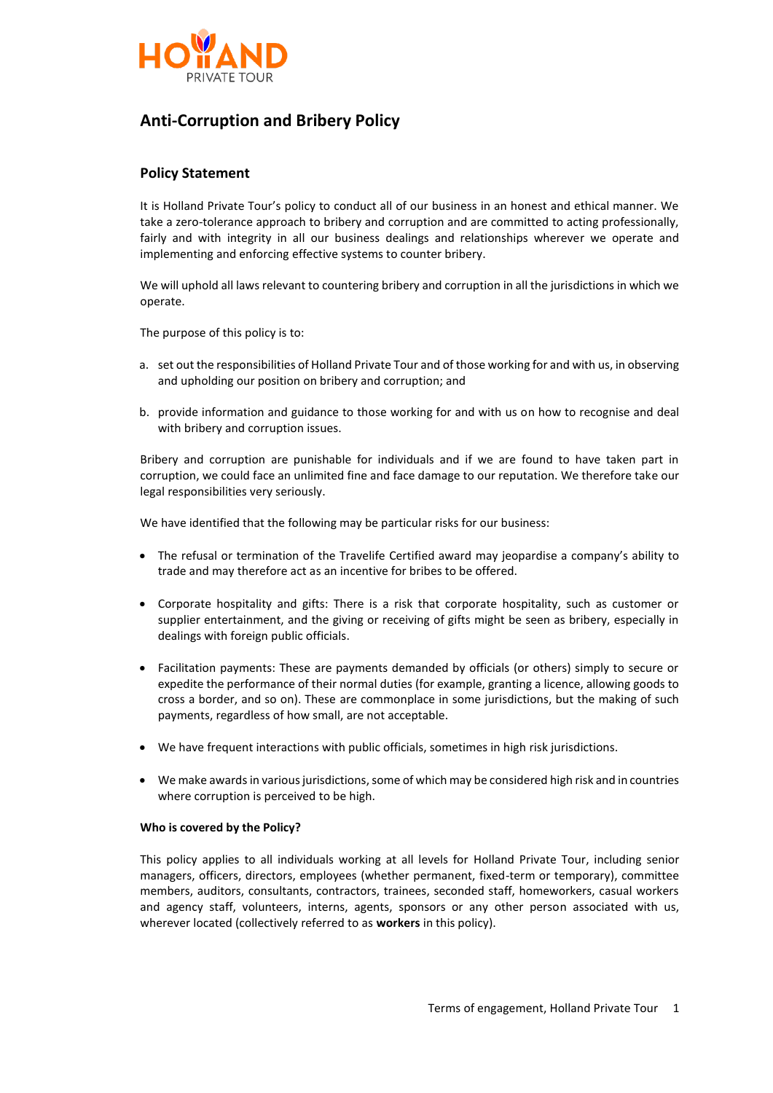

# **Anti-Corruption and Bribery Policy**

### **Policy Statement**

It is Holland Private Tour's policy to conduct all of our business in an honest and ethical manner. We take a zero-tolerance approach to bribery and corruption and are committed to acting professionally, fairly and with integrity in all our business dealings and relationships wherever we operate and implementing and enforcing effective systems to counter bribery.

We will uphold all laws relevant to countering bribery and corruption in all the jurisdictions in which we operate.

The purpose of this policy is to:

- a. set out the responsibilities of Holland Private Tour and of those working for and with us, in observing and upholding our position on bribery and corruption; and
- b. provide information and guidance to those working for and with us on how to recognise and deal with bribery and corruption issues.

Bribery and corruption are punishable for individuals and if we are found to have taken part in corruption, we could face an unlimited fine and face damage to our reputation. We therefore take our legal responsibilities very seriously.

We have identified that the following may be particular risks for our business:

- The refusal or termination of the Travelife Certified award may jeopardise a company's ability to trade and may therefore act as an incentive for bribes to be offered.
- Corporate hospitality and gifts: There is a risk that corporate hospitality, such as customer or supplier entertainment, and the giving or receiving of gifts might be seen as bribery, especially in dealings with foreign public officials.
- Facilitation payments: These are payments demanded by officials (or others) simply to secure or expedite the performance of their normal duties (for example, granting a licence, allowing goods to cross a border, and so on). These are commonplace in some jurisdictions, but the making of such payments, regardless of how small, are not acceptable.
- We have frequent interactions with public officials, sometimes in high risk jurisdictions.
- We make awards in various jurisdictions, some of which may be considered high risk and in countries where corruption is perceived to be high.

### **Who is covered by the Policy?**

This policy applies to all individuals working at all levels for Holland Private Tour, including senior managers, officers, directors, employees (whether permanent, fixed-term or temporary), committee members, auditors, consultants, contractors, trainees, seconded staff, homeworkers, casual workers and agency staff, volunteers, interns, agents, sponsors or any other person associated with us, wherever located (collectively referred to as **workers** in this policy).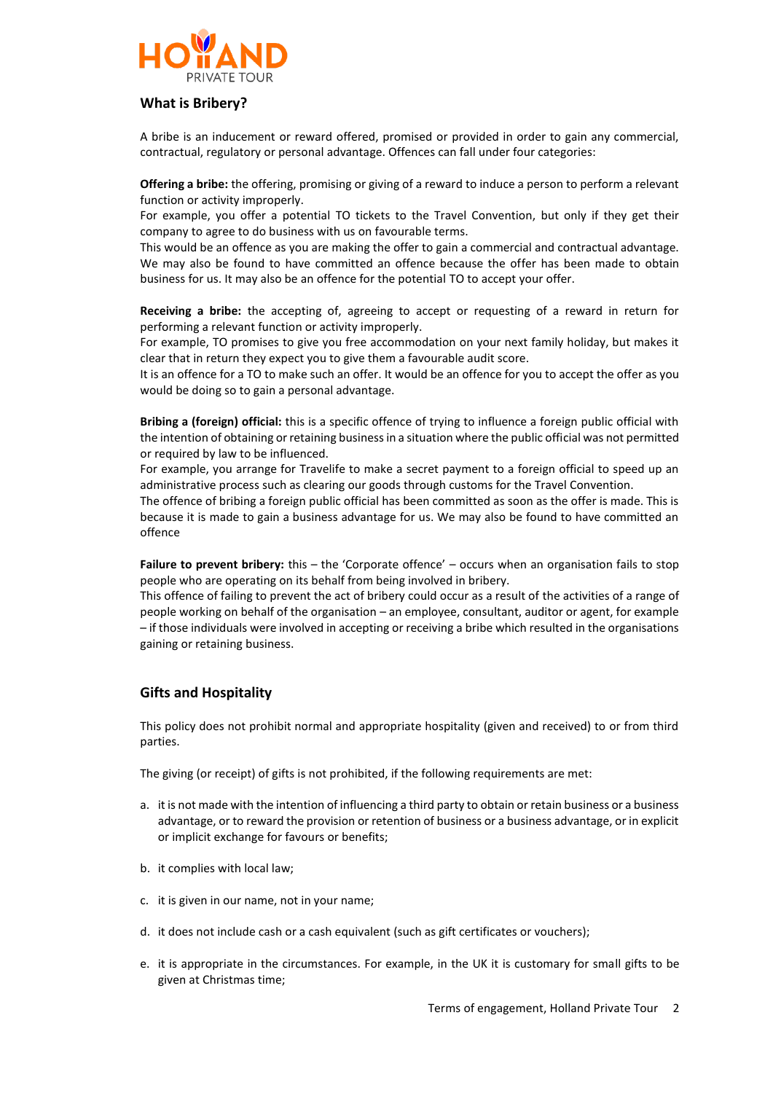

# **What is Bribery?**

A bribe is an inducement or reward offered, promised or provided in order to gain any commercial, contractual, regulatory or personal advantage. Offences can fall under four categories:

**Offering a bribe:** the offering, promising or giving of a reward to induce a person to perform a relevant function or activity improperly.

For example, you offer a potential TO tickets to the Travel Convention, but only if they get their company to agree to do business with us on favourable terms.

This would be an offence as you are making the offer to gain a commercial and contractual advantage. We may also be found to have committed an offence because the offer has been made to obtain business for us. It may also be an offence for the potential TO to accept your offer.

**Receiving a bribe:** the accepting of, agreeing to accept or requesting of a reward in return for performing a relevant function or activity improperly.

For example, TO promises to give you free accommodation on your next family holiday, but makes it clear that in return they expect you to give them a favourable audit score.

It is an offence for a TO to make such an offer. It would be an offence for you to accept the offer as you would be doing so to gain a personal advantage.

**Bribing a (foreign) official:** this is a specific offence of trying to influence a foreign public official with the intention of obtaining or retaining business in a situation where the public official was not permitted or required by law to be influenced.

For example, you arrange for Travelife to make a secret payment to a foreign official to speed up an administrative process such as clearing our goods through customs for the Travel Convention.

The offence of bribing a foreign public official has been committed as soon as the offer is made. This is because it is made to gain a business advantage for us. We may also be found to have committed an offence

**Failure to prevent bribery:** this – the 'Corporate offence' – occurs when an organisation fails to stop people who are operating on its behalf from being involved in bribery.

This offence of failing to prevent the act of bribery could occur as a result of the activities of a range of people working on behalf of the organisation – an employee, consultant, auditor or agent, for example – if those individuals were involved in accepting or receiving a bribe which resulted in the organisations gaining or retaining business.

# **Gifts and Hospitality**

This policy does not prohibit normal and appropriate hospitality (given and received) to or from third parties.

The giving (or receipt) of gifts is not prohibited, if the following requirements are met:

- a. it is not made with the intention of influencing a third party to obtain or retain business or a business advantage, or to reward the provision or retention of business or a business advantage, or in explicit or implicit exchange for favours or benefits;
- b. it complies with local law;
- c. it is given in our name, not in your name;
- d. it does not include cash or a cash equivalent (such as gift certificates or vouchers);
- e. it is appropriate in the circumstances. For example, in the UK it is customary for small gifts to be given at Christmas time;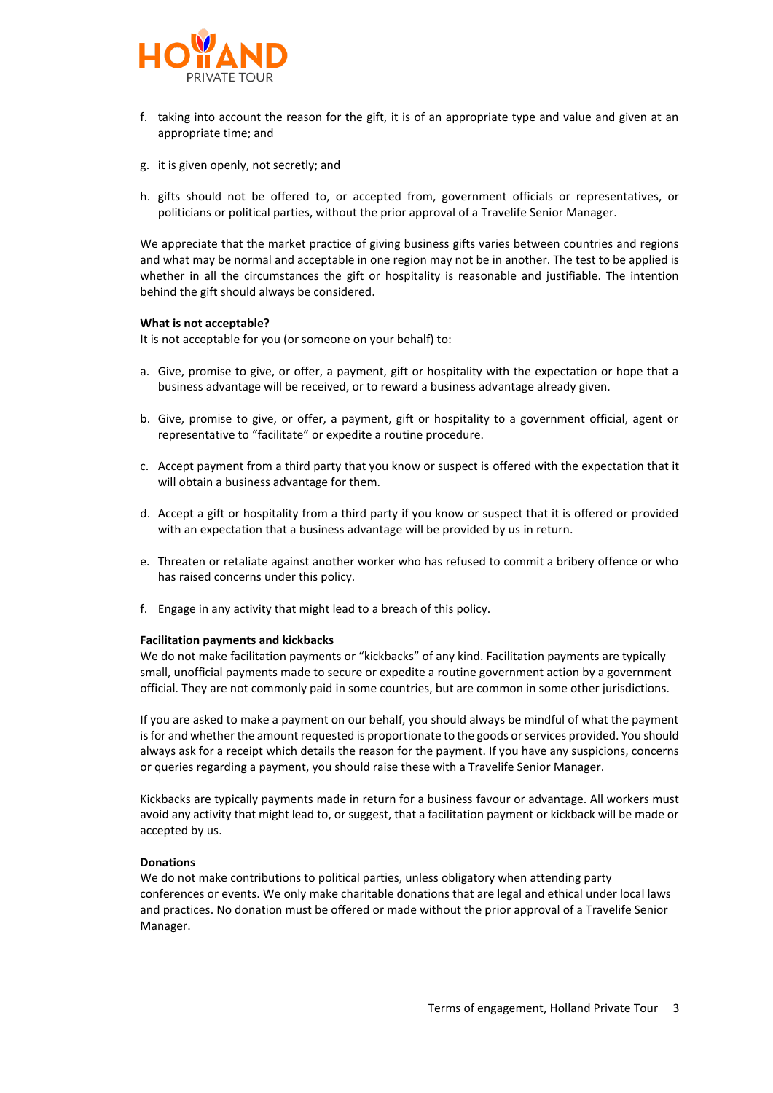

- f. taking into account the reason for the gift, it is of an appropriate type and value and given at an appropriate time; and
- g. it is given openly, not secretly; and
- h. gifts should not be offered to, or accepted from, government officials or representatives, or politicians or political parties, without the prior approval of a Travelife Senior Manager.

We appreciate that the market practice of giving business gifts varies between countries and regions and what may be normal and acceptable in one region may not be in another. The test to be applied is whether in all the circumstances the gift or hospitality is reasonable and justifiable. The intention behind the gift should always be considered.

### **What is not acceptable?**

It is not acceptable for you (or someone on your behalf) to:

- a. Give, promise to give, or offer, a payment, gift or hospitality with the expectation or hope that a business advantage will be received, or to reward a business advantage already given.
- b. Give, promise to give, or offer, a payment, gift or hospitality to a government official, agent or representative to "facilitate" or expedite a routine procedure.
- c. Accept payment from a third party that you know or suspect is offered with the expectation that it will obtain a business advantage for them.
- d. Accept a gift or hospitality from a third party if you know or suspect that it is offered or provided with an expectation that a business advantage will be provided by us in return.
- e. Threaten or retaliate against another worker who has refused to commit a bribery offence or who has raised concerns under this policy.
- f. Engage in any activity that might lead to a breach of this policy.

### **Facilitation payments and kickbacks**

We do not make facilitation payments or "kickbacks" of any kind. Facilitation payments are typically small, unofficial payments made to secure or expedite a routine government action by a government official. They are not commonly paid in some countries, but are common in some other jurisdictions.

If you are asked to make a payment on our behalf, you should always be mindful of what the payment is for and whether the amount requested is proportionate to the goods or services provided. You should always ask for a receipt which details the reason for the payment. If you have any suspicions, concerns or queries regarding a payment, you should raise these with a Travelife Senior Manager.

Kickbacks are typically payments made in return for a business favour or advantage. All workers must avoid any activity that might lead to, or suggest, that a facilitation payment or kickback will be made or accepted by us.

### **Donations**

We do not make contributions to political parties, unless obligatory when attending party conferences or events. We only make charitable donations that are legal and ethical under local laws and practices. No donation must be offered or made without the prior approval of a Travelife Senior Manager.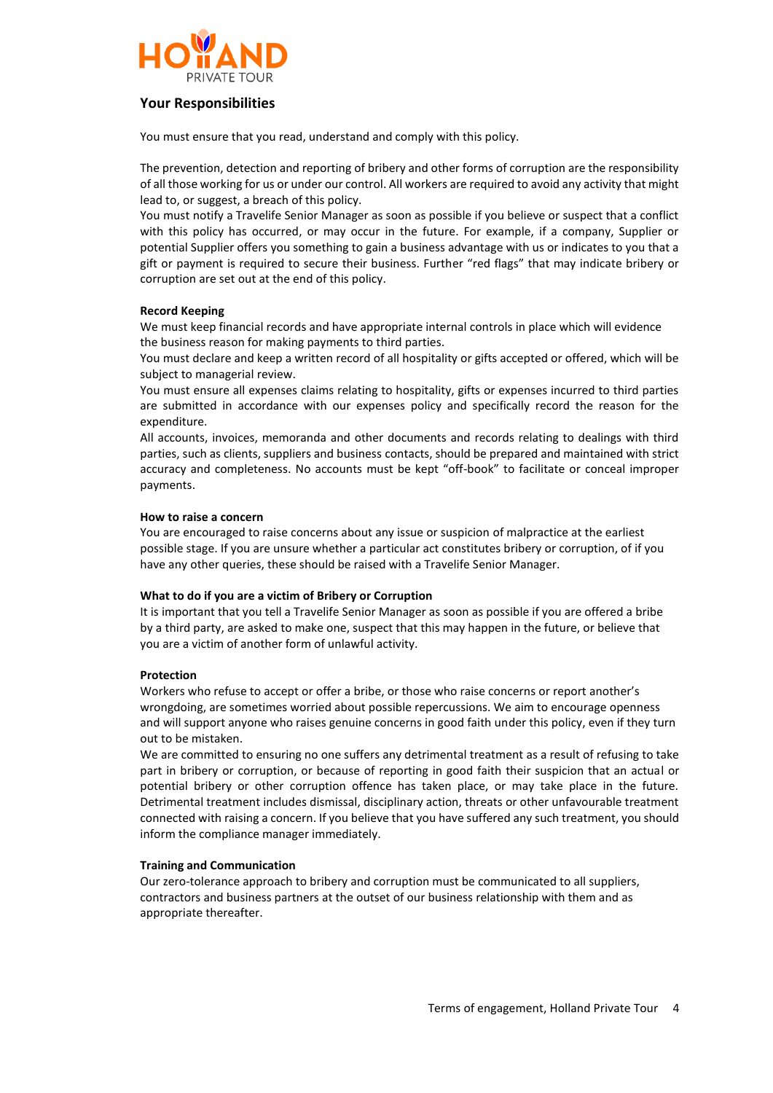

# **Your Responsibilities**

You must ensure that you read, understand and comply with this policy.

The prevention, detection and reporting of bribery and other forms of corruption are the responsibility of all those working for us or under our control. All workers are required to avoid any activity that might lead to, or suggest, a breach of this policy.

You must notify a Travelife Senior Manager as soon as possible if you believe or suspect that a conflict with this policy has occurred, or may occur in the future. For example, if a company, Supplier or potential Supplier offers you something to gain a business advantage with us or indicates to you that a gift or payment is required to secure their business. Further "red flags" that may indicate bribery or corruption are set out at the end of this policy.

### **Record Keeping**

We must keep financial records and have appropriate internal controls in place which will evidence the business reason for making payments to third parties.

You must declare and keep a written record of all hospitality or gifts accepted or offered, which will be subject to managerial review.

You must ensure all expenses claims relating to hospitality, gifts or expenses incurred to third parties are submitted in accordance with our expenses policy and specifically record the reason for the expenditure.

All accounts, invoices, memoranda and other documents and records relating to dealings with third parties, such as clients, suppliers and business contacts, should be prepared and maintained with strict accuracy and completeness. No accounts must be kept "off-book" to facilitate or conceal improper payments.

### **How to raise a concern**

You are encouraged to raise concerns about any issue or suspicion of malpractice at the earliest possible stage. If you are unsure whether a particular act constitutes bribery or corruption, of if you have any other queries, these should be raised with a Travelife Senior Manager.

### **What to do if you are a victim of Bribery or Corruption**

It is important that you tell a Travelife Senior Manager as soon as possible if you are offered a bribe by a third party, are asked to make one, suspect that this may happen in the future, or believe that you are a victim of another form of unlawful activity.

### **Protection**

Workers who refuse to accept or offer a bribe, or those who raise concerns or report another's wrongdoing, are sometimes worried about possible repercussions. We aim to encourage openness and will support anyone who raises genuine concerns in good faith under this policy, even if they turn out to be mistaken.

We are committed to ensuring no one suffers any detrimental treatment as a result of refusing to take part in bribery or corruption, or because of reporting in good faith their suspicion that an actual or potential bribery or other corruption offence has taken place, or may take place in the future. Detrimental treatment includes dismissal, disciplinary action, threats or other unfavourable treatment connected with raising a concern. If you believe that you have suffered any such treatment, you should inform the compliance manager immediately.

### **Training and Communication**

Our zero-tolerance approach to bribery and corruption must be communicated to all suppliers, contractors and business partners at the outset of our business relationship with them and as appropriate thereafter.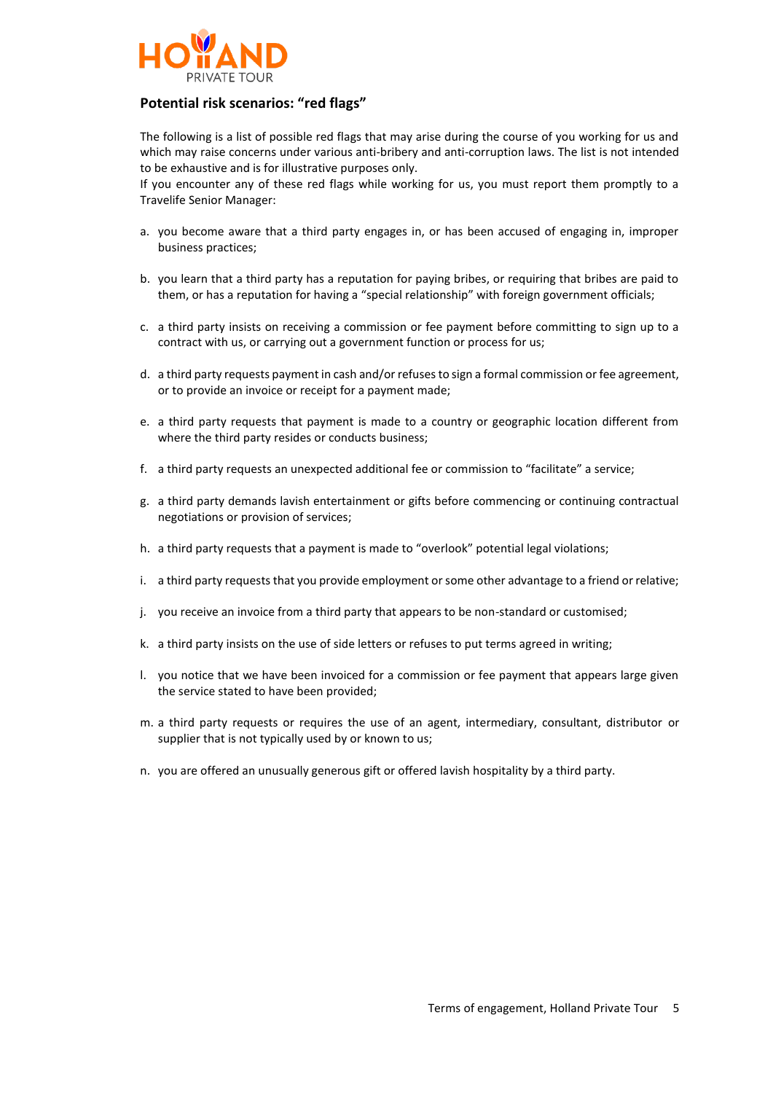

# **Potential risk scenarios: "red flags"**

The following is a list of possible red flags that may arise during the course of you working for us and which may raise concerns under various anti-bribery and anti-corruption laws. The list is not intended to be exhaustive and is for illustrative purposes only.

If you encounter any of these red flags while working for us, you must report them promptly to a Travelife Senior Manager:

- a. you become aware that a third party engages in, or has been accused of engaging in, improper business practices;
- b. you learn that a third party has a reputation for paying bribes, or requiring that bribes are paid to them, or has a reputation for having a "special relationship" with foreign government officials;
- c. a third party insists on receiving a commission or fee payment before committing to sign up to a contract with us, or carrying out a government function or process for us;
- d. a third party requests payment in cash and/or refuses to sign a formal commission or fee agreement, or to provide an invoice or receipt for a payment made;
- e. a third party requests that payment is made to a country or geographic location different from where the third party resides or conducts business;
- f. a third party requests an unexpected additional fee or commission to "facilitate" a service;
- g. a third party demands lavish entertainment or gifts before commencing or continuing contractual negotiations or provision of services;
- h. a third party requests that a payment is made to "overlook" potential legal violations;
- i. a third party requests that you provide employment or some other advantage to a friend or relative;
- j. you receive an invoice from a third party that appears to be non-standard or customised;
- k. a third party insists on the use of side letters or refuses to put terms agreed in writing;
- l. you notice that we have been invoiced for a commission or fee payment that appears large given the service stated to have been provided;
- m. a third party requests or requires the use of an agent, intermediary, consultant, distributor or supplier that is not typically used by or known to us;
- n. you are offered an unusually generous gift or offered lavish hospitality by a third party.